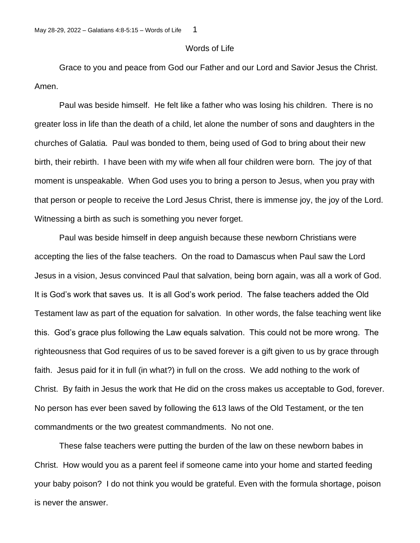## Words of Life

Grace to you and peace from God our Father and our Lord and Savior Jesus the Christ. Amen.

Paul was beside himself. He felt like a father who was losing his children. There is no greater loss in life than the death of a child, let alone the number of sons and daughters in the churches of Galatia. Paul was bonded to them, being used of God to bring about their new birth, their rebirth. I have been with my wife when all four children were born. The joy of that moment is unspeakable. When God uses you to bring a person to Jesus, when you pray with that person or people to receive the Lord Jesus Christ, there is immense joy, the joy of the Lord. Witnessing a birth as such is something you never forget.

Paul was beside himself in deep anguish because these newborn Christians were accepting the lies of the false teachers. On the road to Damascus when Paul saw the Lord Jesus in a vision, Jesus convinced Paul that salvation, being born again, was all a work of God. It is God's work that saves us. It is all God's work period. The false teachers added the Old Testament law as part of the equation for salvation. In other words, the false teaching went like this. God's grace plus following the Law equals salvation. This could not be more wrong. The righteousness that God requires of us to be saved forever is a gift given to us by grace through faith. Jesus paid for it in full (in what?) in full on the cross. We add nothing to the work of Christ. By faith in Jesus the work that He did on the cross makes us acceptable to God, forever. No person has ever been saved by following the 613 laws of the Old Testament, or the ten commandments or the two greatest commandments. No not one.

These false teachers were putting the burden of the law on these newborn babes in Christ. How would you as a parent feel if someone came into your home and started feeding your baby poison? I do not think you would be grateful. Even with the formula shortage, poison is never the answer.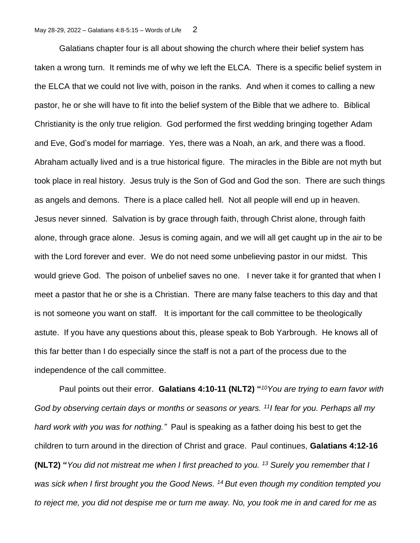Galatians chapter four is all about showing the church where their belief system has taken a wrong turn. It reminds me of why we left the ELCA. There is a specific belief system in the ELCA that we could not live with, poison in the ranks. And when it comes to calling a new pastor, he or she will have to fit into the belief system of the Bible that we adhere to. Biblical Christianity is the only true religion. God performed the first wedding bringing together Adam and Eve, God's model for marriage. Yes, there was a Noah, an ark, and there was a flood. Abraham actually lived and is a true historical figure. The miracles in the Bible are not myth but took place in real history. Jesus truly is the Son of God and God the son. There are such things as angels and demons. There is a place called hell. Not all people will end up in heaven. Jesus never sinned. Salvation is by grace through faith, through Christ alone, through faith alone, through grace alone. Jesus is coming again, and we will all get caught up in the air to be with the Lord forever and ever. We do not need some unbelieving pastor in our midst. This would grieve God. The poison of unbelief saves no one. I never take it for granted that when I meet a pastor that he or she is a Christian. There are many false teachers to this day and that is not someone you want on staff. It is important for the call committee to be theologically astute. If you have any questions about this, please speak to Bob Yarbrough. He knows all of this far better than I do especially since the staff is not a part of the process due to the independence of the call committee.

Paul points out their error. **Galatians 4:10-11 (NLT2) "** *<sup>10</sup>You are trying to earn favor with God by observing certain days or months or seasons or years. <sup>11</sup>I fear for you. Perhaps all my hard work with you was for nothing."* Paul is speaking as a father doing his best to get the children to turn around in the direction of Christ and grace. Paul continues, **Galatians 4:12-16 (NLT2) "***You did not mistreat me when I first preached to you. <sup>13</sup> Surely you remember that I was sick when I first brought you the Good News. <sup>14</sup>But even though my condition tempted you to reject me, you did not despise me or turn me away. No, you took me in and cared for me as*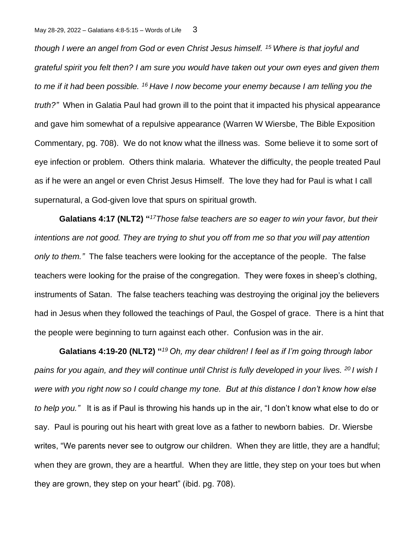*though I were an angel from God or even Christ Jesus himself. <sup>15</sup>Where is that joyful and grateful spirit you felt then? I am sure you would have taken out your own eyes and given them to me if it had been possible. <sup>16</sup>Have I now become your enemy because I am telling you the truth?"* When in Galatia Paul had grown ill to the point that it impacted his physical appearance and gave him somewhat of a repulsive appearance (Warren W Wiersbe, The Bible Exposition Commentary, pg. 708). We do not know what the illness was. Some believe it to some sort of eye infection or problem. Others think malaria. Whatever the difficulty, the people treated Paul as if he were an angel or even Christ Jesus Himself. The love they had for Paul is what I call supernatural, a God-given love that spurs on spiritual growth.

**Galatians 4:17 (NLT2) "** *<sup>17</sup>Those false teachers are so eager to win your favor, but their intentions are not good. They are trying to shut you off from me so that you will pay attention only to them."* The false teachers were looking for the acceptance of the people. The false teachers were looking for the praise of the congregation. They were foxes in sheep's clothing, instruments of Satan. The false teachers teaching was destroying the original joy the believers had in Jesus when they followed the teachings of Paul, the Gospel of grace. There is a hint that the people were beginning to turn against each other. Confusion was in the air.

**Galatians 4:19-20 (NLT2) "** *<sup>19</sup>Oh, my dear children! I feel as if I'm going through labor pains for you again, and they will continue until Christ is fully developed in your lives. <sup>20</sup>I wish I were with you right now so I could change my tone. But at this distance I don't know how else to help you."* It is as if Paul is throwing his hands up in the air, "I don't know what else to do or say. Paul is pouring out his heart with great love as a father to newborn babies. Dr. Wiersbe writes, "We parents never see to outgrow our children. When they are little, they are a handful; when they are grown, they are a heartful. When they are little, they step on your toes but when they are grown, they step on your heart" (ibid. pg. 708).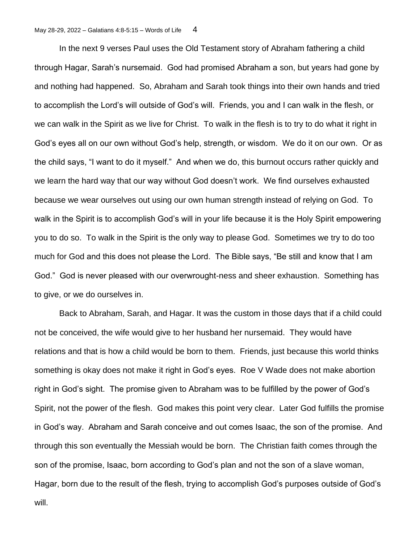In the next 9 verses Paul uses the Old Testament story of Abraham fathering a child through Hagar, Sarah's nursemaid. God had promised Abraham a son, but years had gone by and nothing had happened. So, Abraham and Sarah took things into their own hands and tried to accomplish the Lord's will outside of God's will. Friends, you and I can walk in the flesh, or we can walk in the Spirit as we live for Christ. To walk in the flesh is to try to do what it right in God's eyes all on our own without God's help, strength, or wisdom. We do it on our own. Or as the child says, "I want to do it myself." And when we do, this burnout occurs rather quickly and we learn the hard way that our way without God doesn't work. We find ourselves exhausted because we wear ourselves out using our own human strength instead of relying on God. To walk in the Spirit is to accomplish God's will in your life because it is the Holy Spirit empowering you to do so. To walk in the Spirit is the only way to please God. Sometimes we try to do too much for God and this does not please the Lord. The Bible says, "Be still and know that I am God." God is never pleased with our overwrought-ness and sheer exhaustion. Something has to give, or we do ourselves in.

Back to Abraham, Sarah, and Hagar. It was the custom in those days that if a child could not be conceived, the wife would give to her husband her nursemaid. They would have relations and that is how a child would be born to them. Friends, just because this world thinks something is okay does not make it right in God's eyes. Roe V Wade does not make abortion right in God's sight. The promise given to Abraham was to be fulfilled by the power of God's Spirit, not the power of the flesh. God makes this point very clear. Later God fulfills the promise in God's way. Abraham and Sarah conceive and out comes Isaac, the son of the promise. And through this son eventually the Messiah would be born. The Christian faith comes through the son of the promise, Isaac, born according to God's plan and not the son of a slave woman, Hagar, born due to the result of the flesh, trying to accomplish God's purposes outside of God's will.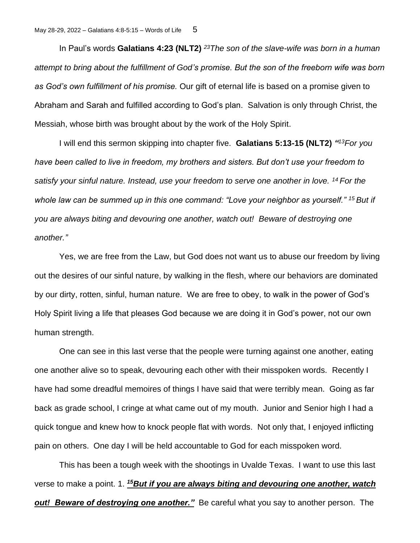In Paul's words **Galatians 4:23 (NLT2)** *<sup>23</sup>The son of the slave-wife was born in a human attempt to bring about the fulfillment of God's promise. But the son of the freeborn wife was born as God's own fulfillment of his promise.* Our gift of eternal life is based on a promise given to Abraham and Sarah and fulfilled according to God's plan. Salvation is only through Christ, the Messiah, whose birth was brought about by the work of the Holy Spirit.

I will end this sermon skipping into chapter five. **Galatians 5:13-15 (NLT2)** *" <sup>13</sup>For you have been called to live in freedom, my brothers and sisters. But don't use your freedom to satisfy your sinful nature. Instead, use your freedom to serve one another in love. <sup>14</sup>For the whole law can be summed up in this one command: "Love your neighbor as yourself." <sup>15</sup>But if you are always biting and devouring one another, watch out! Beware of destroying one another."*

Yes, we are free from the Law, but God does not want us to abuse our freedom by living out the desires of our sinful nature, by walking in the flesh, where our behaviors are dominated by our dirty, rotten, sinful, human nature. We are free to obey, to walk in the power of God's Holy Spirit living a life that pleases God because we are doing it in God's power, not our own human strength.

One can see in this last verse that the people were turning against one another, eating one another alive so to speak, devouring each other with their misspoken words. Recently I have had some dreadful memoires of things I have said that were terribly mean. Going as far back as grade school, I cringe at what came out of my mouth. Junior and Senior high I had a quick tongue and knew how to knock people flat with words. Not only that, I enjoyed inflicting pain on others. One day I will be held accountable to God for each misspoken word.

This has been a tough week with the shootings in Uvalde Texas. I want to use this last verse to make a point. 1. *<sup>15</sup>But if you are always biting and devouring one another, watch out! Beware of destroying one another."* Be careful what you say to another person. The